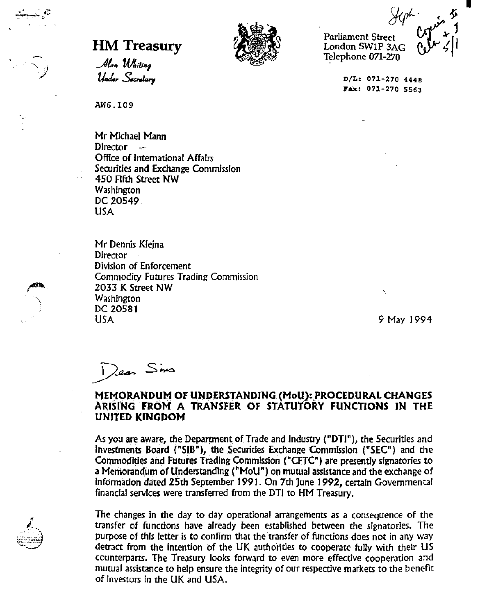$\frac{f^2}{f^2}$  ( 1)  $\frac{f^2}{f^2}$ .<br>Parliament Street<br>London SW1P 3AG Telephone 071-270

I,

**D/L: 071-270 4448 Fax: 071-270 5563** 

**HM Treasury** *letter*<br>*Alan Whiting*<br>*Under Secretary* INI I Feasury<br>Alan Whiting<br>Under Secretary



AW6.109

Mr Michael Mann Director --Office of International Affairs Securities and Exchange Commission 450 Fifth Street NW **Washington** DC 20549. USA

Mr Dennis Kleina **Director**  Division of Enforcement Commodity Futures Trading Commission 2033 K Street NW Washington DC 20581 USA

9 May 1994

Dean Sins

## **MEMORANDUM OF UNDERSTANDING (MoU): PROCEDURAL CHANGES ARISING FROM A TRANSFER OF STATUTORY FUNCTIONS IN THE UNITED KINGDOM**

As you are aware, the Department of Trade and Industry ("DTI"), the Securities and Investments Board ("SIB"), the Securities Exchange Commission ("SEC") and the Commodities and Futures Trading Commission ("CFTC") are presently signatories to a Memorandum of Understanding ("MoU") on mutual assistance and the exchange of Information dated 25th September 1991. On 7th June 1992, certain Governmental fmanclaf services were transferred from the DT! to HM Treasury.

The changes in the day to day operational arrangements as a consequence of the transfer of functions have already been established between the signatories. The purpose of this fetter is to confirm that the transfer of functions does not in any way detract from the intention of the UK authorities to cooperate fully with their US counterparts. The Treasury looks forward to even more effective cooperation and mutual assistance to help ensure the integrity of our respective markets to the benefit of investors In the UK and USA.